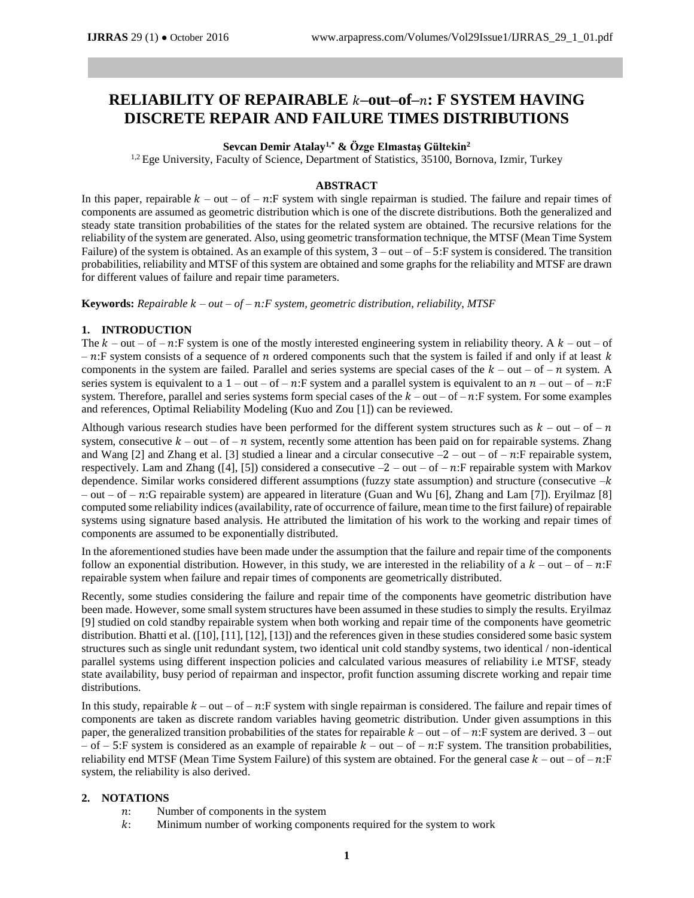# **RELIABILITY OF REPAIRABLE –out–of–: F SYSTEM HAVING DISCRETE REPAIR AND FAILURE TIMES DISTRIBUTIONS**

## **Sevcan Demir Atalay1,\* & Özge Elmastaş Gültekin<sup>2</sup>**

<sup>1,2</sup> Ege University, Faculty of Science, Department of Statistics, 35100, Bornova, Izmir, Turkey

## **ABSTRACT**

In this paper, repairable  $k - out - of - n$ : F system with single repairman is studied. The failure and repair times of components are assumed as geometric distribution which is one of the discrete distributions. Both the generalized and steady state transition probabilities of the states for the related system are obtained. The recursive relations for the reliability of the system are generated. Also, using geometric transformation technique, the MTSF (Mean Time System Failure) of the system is obtained. As an example of this system,  $3 - out - of - 5$ : F system is considered. The transition probabilities, reliability and MTSF of this system are obtained and some graphs for the reliability and MTSF are drawn for different values of failure and repair time parameters.

**Keywords:** *Repairable – out – of – :F system, geometric distribution, reliability, MTSF*

## **1. INTRODUCTION**

The  $k$  – out – of – n:F system is one of the mostly interested engineering system in reliability theory. A  $k$  – out – of  $- n$ : F system consists of a sequence of *n* ordered components such that the system is failed if and only if at least k components in the system are failed. Parallel and series systems are special cases of the  $k - out - of - n$  system. A series system is equivalent to a  $1 - out - of - n$ : F system and a parallel system is equivalent to an  $n - out - of - n$ : F system. Therefore, parallel and series systems form special cases of the  $k - out - of - n$ : F system. For some examples and references, Optimal Reliability Modeling (Kuo and Zou [1]) can be reviewed.

Although various research studies have been performed for the different system structures such as  $k - out - of - n$ system, consecutive  $k - out - of - n$  system, recently some attention has been paid on for repairable systems. Zhang and Wang [2] and Zhang et al. [3] studied a linear and a circular consecutive  $-2$  – out – of – n:F repairable system, respectively. Lam and Zhang ([4], [5]) considered a consecutive  $-2$  – out – of – n:F repairable system with Markov dependence. Similar works considered different assumptions (fuzzy state assumption) and structure (consecutive  $-k$ – out – of – n:G repairable system) are appeared in literature (Guan and Wu [6], Zhang and Lam [7]). Eryilmaz [8] computed some reliability indices (availability, rate of occurrence of failure, mean time to the first failure) of repairable systems using signature based analysis. He attributed the limitation of his work to the working and repair times of components are assumed to be exponentially distributed.

In the aforementioned studies have been made under the assumption that the failure and repair time of the components follow an exponential distribution. However, in this study, we are interested in the reliability of a  $k$  – out – of –  $n$ : F repairable system when failure and repair times of components are geometrically distributed.

Recently, some studies considering the failure and repair time of the components have geometric distribution have been made. However, some small system structures have been assumed in these studies to simply the results. Eryilmaz [9] studied on cold standby repairable system when both working and repair time of the components have geometric distribution. Bhatti et al. ([10], [11], [12], [13]) and the references given in these studies considered some basic system structures such as single unit redundant system, two identical unit cold standby systems, two identical / non-identical parallel systems using different inspection policies and calculated various measures of reliability i.e MTSF, steady state availability, busy period of repairman and inspector, profit function assuming discrete working and repair time distributions.

In this study, repairable  $k - out - of - n$ : F system with single repairman is considered. The failure and repair times of components are taken as discrete random variables having geometric distribution. Under given assumptions in this paper, the generalized transition probabilities of the states for repairable  $k - out - of - n$ : F system are derived.  $3 - out$ – of – 5:F system is considered as an example of repairable  $k$  – out – of – n:F system. The transition probabilities, reliability end MTSF (Mean Time System Failure) of this system are obtained. For the general case  $k - out - of - n$ : F system, the reliability is also derived.

## **2. NOTATIONS**

- : Number of components in the system
- : Minimum number of working components required for the system to work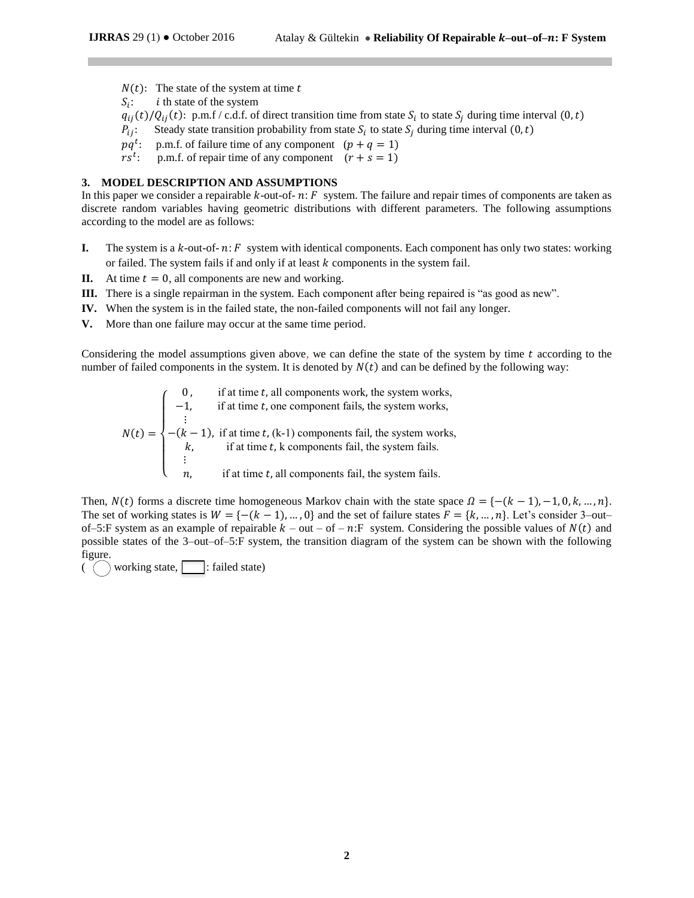- $N(t)$ : The state of the system at time t
- $S_i$ :  $i$  th state of the system

 $q_{ij}(t)/Q_{ij}(t)$ : p.m.f / c.d.f. of direct transition time from state  $S_i$  to state  $S_j$  during time interval  $(0,t)$ 

- $P_{ij}$ : Steady state transition probability from state  $S_i$  to state  $S_j$  during time interval  $(0, t)$
- $p q^t$ p.m.f. of failure time of any component  $(p + q = 1)$
- $rs^t$ p.m.f. of repair time of any component  $(r + s = 1)$

#### **3. MODEL DESCRIPTION AND ASSUMPTIONS**

In this paper we consider a repairable  $k$ -out-of-  $n: F$  system. The failure and repair times of components are taken as discrete random variables having geometric distributions with different parameters. The following assumptions according to the model are as follows:

- **I.** The system is a  $k$ -out-of-  $n: F$  system with identical components. Each component has only two states: working or failed. The system fails if and only if at least  $k$  components in the system fail.
- **II.** At time  $t = 0$ , all components are new and working.
- **III.** There is a single repairman in the system. Each component after being repaired is "as good as new".
- **IV.** When the system is in the failed state, the non-failed components will not fail any longer.
- **V.** More than one failure may occur at the same time period.

Considering the model assumptions given above, we can define the state of the system by time  $t$  according to the number of failed components in the system. It is denoted by  $N(t)$  and can be defined by the following way:

 $N(t) =$  $\overline{\mathcal{L}}$  $\overline{1}$  $\mathbf{I}$  $\perp$  $\begin{bmatrix} -1, & \text{if at time } t, \text{ one component fails, the system works,} \end{bmatrix}$ if at time  $t$ , all components work, the system works, ⋮  $-(k-1)$ , if at time t, (k-1) components fail, the system works,  $k$ , if at time  $t$ , k components fail, the system fails. ⋮ if at time  $t$ , all components fail, the system fails.

Then,  $N(t)$  forms a discrete time homogeneous Markov chain with the state space  $\Omega = \{-(k-1),-1,0,k,...,n\}.$ The set of working states is  $W = \{-(k-1), ..., 0\}$  and the set of failure states  $F = \{k, ..., n\}$ . Let's consider 3–out– of–5:F system as an example of repairable  $k - out - of - n$ :F system. Considering the possible values of  $N(t)$  and possible states of the 3–out–of–5:F system, the transition diagram of the system can be shown with the following figure.

 $( )$  working state,  $\fbox{ in }$  : failed state)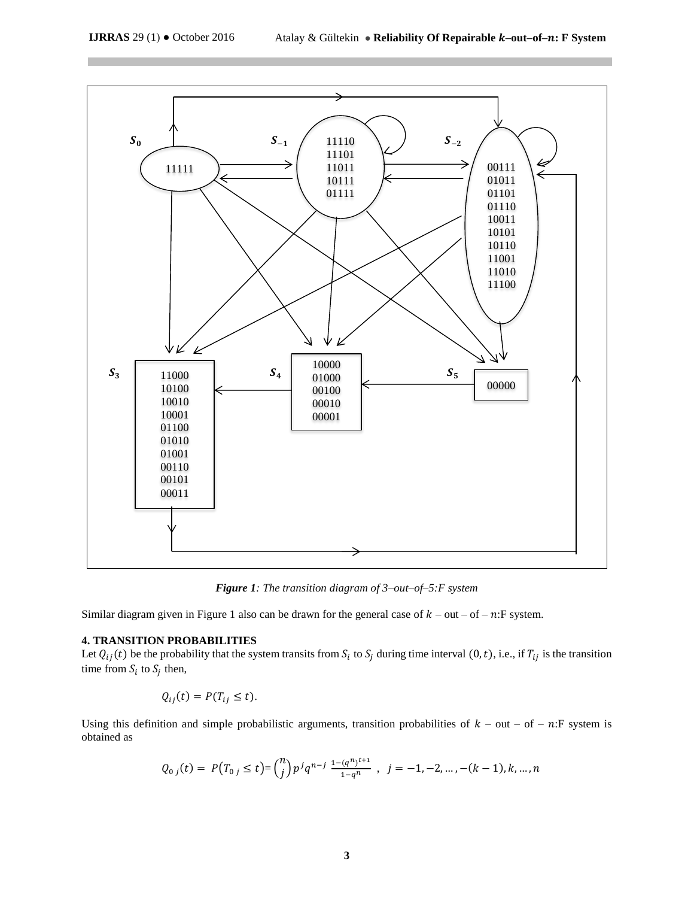

*Figure 1: The transition diagram of 3–out–of–5:F system*

Similar diagram given in Figure 1 also can be drawn for the general case of  $k$  – out – of –  $n$ : F system.

## **4. TRANSITION PROBABILITIES**

Let  $Q_{ij}(t)$  be the probability that the system transits from  $S_i$  to  $S_j$  during time interval  $(0, t)$ , i.e., if  $T_{ij}$  is the transition time from  $S_i$  to  $S_j$  then,

$$
Q_{ij}(t) = P(T_{ij} \leq t).
$$

Using this definition and simple probabilistic arguments, transition probabilities of  $k - out - of - n$ : F system is obtained as

$$
Q_{0j}(t) = P(T_{0j} \le t) = {n \choose j} p^j q^{n-j} \frac{1 - (q^n)^{t+1}}{1 - q^n}, \quad j = -1, -2, \dots, -(k-1), k, \dots, n
$$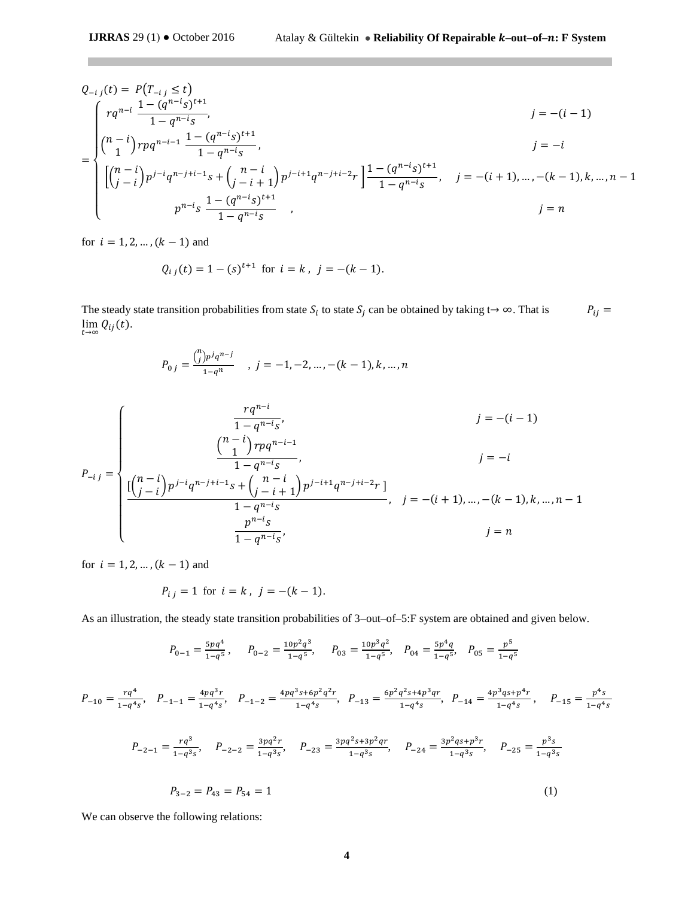$$
Q_{-i\,j}(t) = P(T_{-i\,j} \le t)
$$
\n
$$
= \begin{cases}\n r q^{n-i} \frac{1 - (q^{n-i}s)^{t+1}}{1 - q^{n-i}s}, & j = -(i-1) \\
 \binom{n-i}{1} r p q^{n-i-1} \frac{1 - (q^{n-i}s)^{t+1}}{1 - q^{n-i}s}, & j = -i \\
 \left[ \binom{n-i}{j-i} p^{j-i} q^{n-j+i-1} s + \binom{n-i}{j-i+1} p^{j-i+1} q^{n-j+i-2} r \right] \frac{1 - (q^{n-i}s)^{t+1}}{1 - q^{n-i}s}, & j = -(i+1), \dots, -(k-1), k, \dots, n-1 \\
 & p^{n-i} s \frac{1 - (q^{n-i}s)^{t+1}}{1 - q^{n-i}s}, & j = n\n\end{cases}
$$

for  $i = 1, 2, ..., (k - 1)$  and

$$
Q_{i j}(t) = 1 - (s)^{t+1}
$$
 for  $i = k$ ,  $j = -(k-1)$ .

The steady state transition probabilities from state  $S_i$  to state  $S_j$  can be obtained by taking t→ ∞. That is  $P_{ij} =$  $\lim_{t\to\infty} Q_{ij}(t)$ .

$$
P_{0j} = \frac{{\binom{n}{j}p^{j}q^{n-j}}{1-q^n} \quad , \ j = -1, -2, \dots, -(k-1), k, \dots, n
$$

$$
P_{-i\,j} = \begin{cases} \n\frac{rq^{n-i}}{1 - q^{n-i}s}, & j = -(i-1) \\
\frac{\binom{n-i}{1}rpq^{n-i-1}}{1 - q^{n-i}s}, & j = -i \\
\frac{\left[\binom{n-i}{j-i}\right]p^{j-i}q^{n-j+i-1}s + \binom{n-i}{j-i+1}p^{j-i+1}q^{n-j+i-2}r}{1 - q^{n-i}s}, & j = -(i+1), \dots, -(k-1), k, \dots, n-1 \\
\frac{p^{n-i}s}{1 - q^{n-i}s}, & j = n\n\end{cases}
$$

for  $i = 1, 2, ..., (k - 1)$  and

$$
P_{i j} = 1
$$
 for  $i = k$ ,  $j = -(k - 1)$ .

As an illustration, the steady state transition probabilities of 3–out–of–5:F system are obtained and given below.

$$
P_{0-1} = \frac{5pq^4}{1-q^5}, \qquad P_{0-2} = \frac{10p^2q^3}{1-q^5}, \qquad P_{03} = \frac{10p^3q^2}{1-q^5}, \quad P_{04} = \frac{5p^4q}{1-q^5}, \quad P_{05} = \frac{p^5}{1-q^5}
$$

$$
P_{-10} = \frac{rq^4}{1-q^4s}, \quad P_{-1-1} = \frac{4pq^3r}{1-q^4s}, \quad P_{-1-2} = \frac{4pq^3s + 6p^2q^2r}{1-q^4s}, \quad P_{-13} = \frac{6p^2q^2s + 4p^3qr}{1-q^4s}, \quad P_{-14} = \frac{4p^3qs + p^4r}{1-q^4s}, \quad P_{-15} = \frac{p^4s}{1-q^4s}
$$

$$
P_{-2-1} = \frac{rq^3}{1-q^3s}, \quad P_{-2-2} = \frac{3pq^2r}{1-q^3s}, \quad P_{-23} = \frac{3pq^2s + 3p^2qr}{1-q^3s}, \quad P_{-24} = \frac{3p^2qs + p^3r}{1-q^3s}, \quad P_{-25} = \frac{p^3s}{1-q^3s}
$$

$$
P_{3-2} = P_{43} = P_{54} = 1
$$
(1)

We can observe the following relations: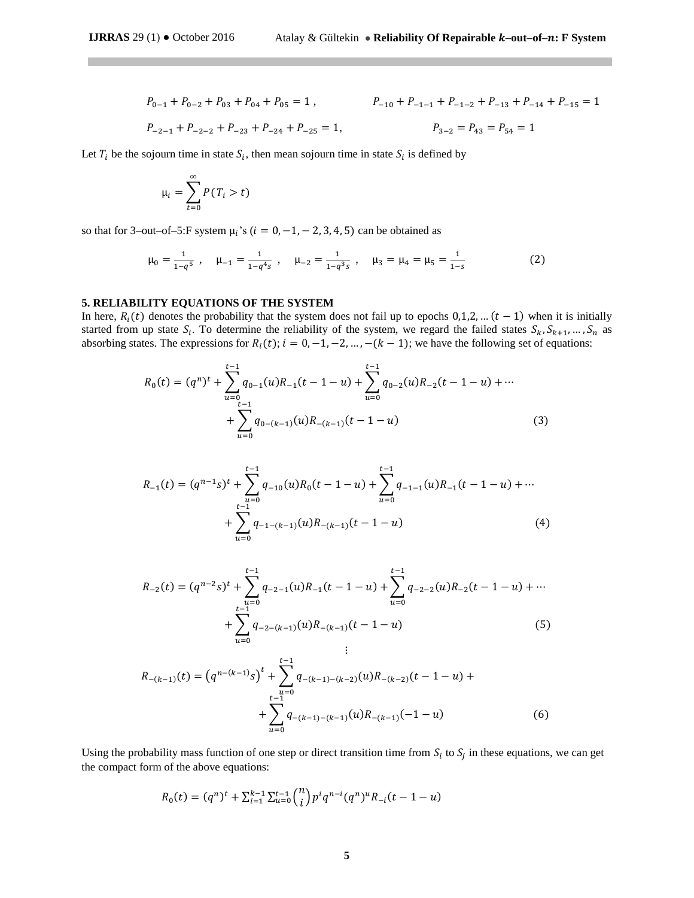$$
P_{0-1} + P_{0-2} + P_{03} + P_{04} + P_{05} = 1, \qquad P_{-10} + P_{-1-1} + P_{-1-2} + P_{-13} + P_{-14} + P_{-15} = 1
$$
  

$$
P_{-2-1} + P_{-2-2} + P_{-23} + P_{-24} + P_{-25} = 1, \qquad P_{3-2} = P_{43} = P_{54} = 1
$$

Let  $T_i$  be the sojourn time in state  $S_i$ , then mean sojourn time in state  $S_i$  is defined by

$$
\mu_i = \sum_{t=0}^{\infty} P(T_i > t)
$$

so that for 3–out–of–5:F system  $\mu_i$ 's ( $i = 0, -1, -2, 3, 4, 5$ ) can be obtained as

$$
\mu_0 = \frac{1}{1 - q^5}
$$
,  $\mu_{-1} = \frac{1}{1 - q^4 s}$ ,  $\mu_{-2} = \frac{1}{1 - q^3 s}$ ,  $\mu_3 = \mu_4 = \mu_5 = \frac{1}{1 - s}$  (2)

## **5. RELIABILITY EQUATIONS OF THE SYSTEM**

In here,  $R_i(t)$  denotes the probability that the system does not fail up to epochs 0,1,2, …  $(t-1)$  when it is initially started from up state  $S_i$ . To determine the reliability of the system, we regard the failed states  $S_k, S_{k+1}, \ldots, S_n$  as absorbing states. The expressions for  $R_i(t)$ ;  $i = 0, -1, -2, \dots, -(k-1)$ ; we have the following set of equations:

$$
R_0(t) = (q^n)^t + \sum_{u=0}^{t-1} q_{0-1}(u)R_{-1}(t-1-u) + \sum_{u=0}^{t-1} q_{0-2}(u)R_{-2}(t-1-u) + \cdots + \sum_{u=0}^{t-1} q_{0-(k-1)}(u)R_{-(k-1)}(t-1-u)
$$
\n(3)

$$
R_{-1}(t) = (q^{n-1}s)^t + \sum_{\substack{u=0 \ t-1}}^{t-1} q_{-10}(u)R_0(t-1-u) + \sum_{u=0}^{t-1} q_{-1-1}(u)R_{-1}(t-1-u) + \cdots + \sum_{u=0}^{t-1} q_{-1-(k-1)}(u)R_{-(k-1)}(t-1-u)
$$
\n
$$
(4)
$$

$$
R_{-2}(t) = (q^{n-2}s)^t + \sum_{u=0}^{t-1} q_{-2-1}(u)R_{-1}(t-1-u) + \sum_{u=0}^{t-1} q_{-2-2}(u)R_{-2}(t-1-u) + \cdots + \sum_{u=0}^{t-1} q_{-2-(k-1)}(u)R_{-(k-1)}(t-1-u)
$$
\n(5)

$$
R_{-(k-1)}(t) = (q^{n-(k-1)}s)^t + \sum_{\substack{u=0 \ u=0}}^{t-1} q_{-(k-1)-(k-2)}(u)R_{-(k-2)}(t-1-u) + \sum_{u=0}^{t-1} q_{-(k-1)-(k-1)}(u)R_{-(k-1)}(-1-u)
$$
(6)

Using the probability mass function of one step or direct transition time from  $S_i$  to  $S_j$  in these equations, we can get the compact form of the above equations:

$$
R_0(t) = (q^n)^t + \sum_{i=1}^{k-1} \sum_{u=0}^{t-1} {n \choose i} p^i q^{n-i} (q^n)^u R_{-i}(t-1-u)
$$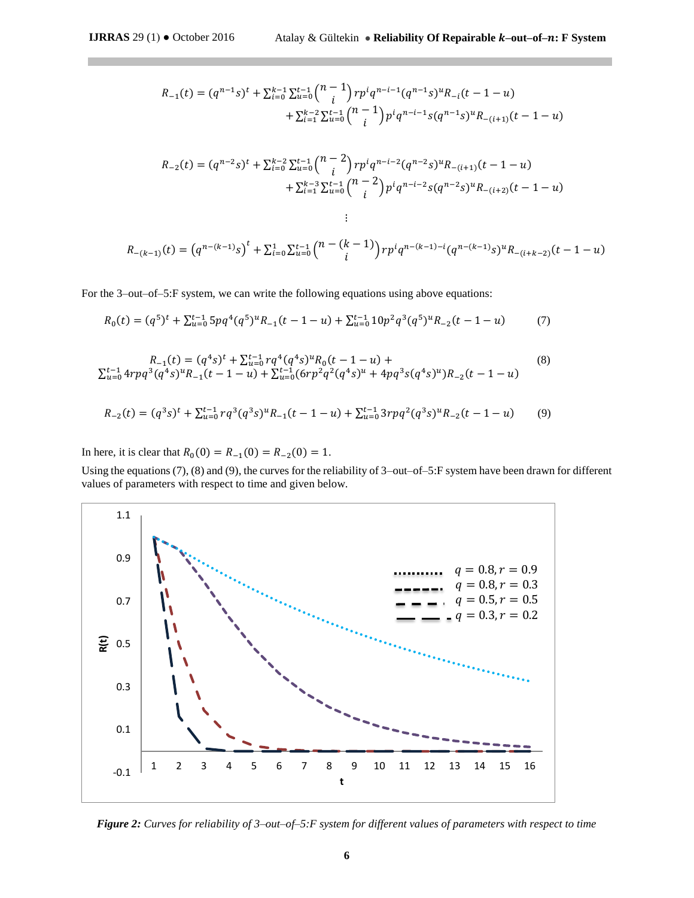$$
R_{-1}(t) = (q^{n-1}s)^t + \sum_{i=0}^{k-1} \sum_{u=0}^{t-1} {n-1 \choose i} r p^i q^{n-i-1} (q^{n-1}s)^u R_{-i} (t-1-u)
$$
  
+ 
$$
\sum_{i=1}^{k-2} \sum_{u=0}^{t-1} {n-1 \choose i} p^i q^{n-i-1} s (q^{n-1}s)^u R_{-(i+1)} (t-1-u)
$$
  

$$
R_{-2}(t) = (q^{n-2}s)^t + \sum_{i=0}^{k-2} \sum_{u=0}^{t-1} {n-2 \choose i} r p^i q^{n-i-2} (q^{n-2}s)^u R_{-(i+1)} (t-1-u)
$$
  
+ 
$$
\sum_{i=1}^{k-3} \sum_{u=0}^{t-1} {n-2 \choose i} p^i q^{n-i-2} s (q^{n-2}s)^u R_{-(i+2)} (t-1-u)
$$
  
:

$$
R_{-(k-1)}(t) = (q^{n-(k-1)}s)^t + \sum_{i=0}^{1} \sum_{u=0}^{t-1} {n-(k-1) \choose i} r p^i q^{n-(k-1)-i} (q^{n-(k-1)}s)^u R_{-(i+k-2)}(t-1-u)
$$

For the 3–out–of–5:F system, we can write the following equations using above equations:

$$
R_0(t) = (q^5)^t + \sum_{u=0}^{t-1} 5pq^4(q^5)^u R_{-1}(t-1-u) + \sum_{u=0}^{t-1} 10p^2 q^3 (q^5)^u R_{-2}(t-1-u) \tag{7}
$$

$$
R_{-1}(t) = (q^4s)^t + \sum_{u=0}^{t-1} r q^4 (q^4s)^u R_0(t-1-u) +
$$
  

$$
\sum_{u=0}^{t-1} 4r p q^3 (q^4s)^u R_{-1}(t-1-u) + \sum_{u=0}^{t-1} (6r p^2 q^2 (q^4s)^u + 4p q^3 s (q^4s)^u) R_{-2}(t-1-u)
$$
 (8)

$$
R_{-2}(t) = (q^3s)^t + \sum_{u=0}^{t-1} r q^3 (q^3s)^u R_{-1}(t-1-u) + \sum_{u=0}^{t-1} 3r p q^2 (q^3s)^u R_{-2}(t-1-u) \tag{9}
$$

In here, it is clear that  $R_0(0) = R_{-1}(0) = R_{-2}(0) = 1$ .

Using the equations (7), (8) and (9), the curves for the reliability of 3–out–of–5:F system have been drawn for different values of parameters with respect to time and given below.



*Figure 2: Curves for reliability of 3–out–of–5:F system for different values of parameters with respect to time*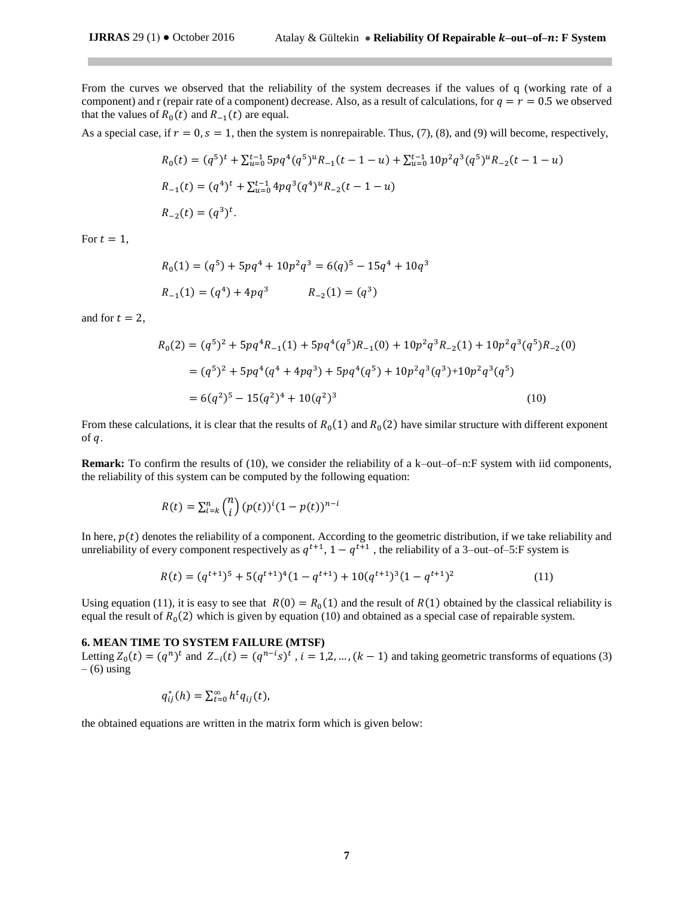From the curves we observed that the reliability of the system decreases if the values of q (working rate of a component) and r (repair rate of a component) decrease. Also, as a result of calculations, for  $q = r = 0.5$  we observed that the values of  $R_0(t)$  and  $R_{-1}(t)$  are equal.

As a special case, if  $r = 0$ ,  $s = 1$ , then the system is nonrepairable. Thus, (7), (8), and (9) will become, respectively,

$$
R_0(t) = (q^5)^t + \sum_{u=0}^{t-1} 5pq^4(q^5)^u R_{-1}(t-1-u) + \sum_{u=0}^{t-1} 10p^2 q^3 (q^5)^u R_{-2}(t-1-u)
$$
  
\n
$$
R_{-1}(t) = (q^4)^t + \sum_{u=0}^{t-1} 4pq^3 (q^4)^u R_{-2}(t-1-u)
$$
  
\n
$$
R_{-2}(t) = (q^3)^t.
$$

For  $t = 1$ ,

$$
R_0(1) = (q^5) + 5pq^4 + 10p^2q^3 = 6(q)^5 - 15q^4 + 10q^3
$$
  

$$
R_{-1}(1) = (q^4) + 4pq^3
$$
  

$$
R_{-2}(1) = (q^3)
$$

and for  $t = 2$ ,

$$
R_0(2) = (q^5)^2 + 5pq^4R_{-1}(1) + 5pq^4(q^5)R_{-1}(0) + 10p^2q^3R_{-2}(1) + 10p^2q^3(q^5)R_{-2}(0)
$$
  
=  $(q^5)^2 + 5pq^4(q^4 + 4pq^3) + 5pq^4(q^5) + 10p^2q^3(q^3) + 10p^2q^3(q^5)$   
=  $6(q^2)^5 - 15(q^2)^4 + 10(q^2)^3$  (10)

From these calculations, it is clear that the results of  $R_0(1)$  and  $R_0(2)$  have similar structure with different exponent of  $q$ .

**Remark:** To confirm the results of (10), we consider the reliability of a k–out–of–n:F system with iid components, the reliability of this system can be computed by the following equation:

$$
R(t) = \sum_{i=k}^{n} {n \choose i} (p(t))^i (1 - p(t))^{n-i}
$$

In here,  $p(t)$  denotes the reliability of a component. According to the geometric distribution, if we take reliability and unreliability of every component respectively as  $q^{t+1}$ ,  $1 - q^{t+1}$ , the reliability of a 3–out–of–5:F system is

$$
R(t) = (q^{t+1})^5 + 5(q^{t+1})^4(1 - q^{t+1}) + 10(q^{t+1})^3(1 - q^{t+1})^2
$$
\n(11)

Using equation (11), it is easy to see that  $R(0) = R_0(1)$  and the result of  $R(1)$  obtained by the classical reliability is equal the result of  $R_0(2)$  which is given by equation (10) and obtained as a special case of repairable system.

#### **6. MEAN TIME TO SYSTEM FAILURE (MTSF)**

Letting  $Z_0(t) = (q^n)^t$  and  $Z_{-i}(t) = (q^{n-i}s)^t$ ,  $i = 1,2,..., (k-1)$  and taking geometric transforms of equations (3)  $-$  (6) using

$$
q_{ij}^*(h) = \sum_{t=0}^{\infty} h^t q_{ij}(t),
$$

the obtained equations are written in the matrix form which is given below: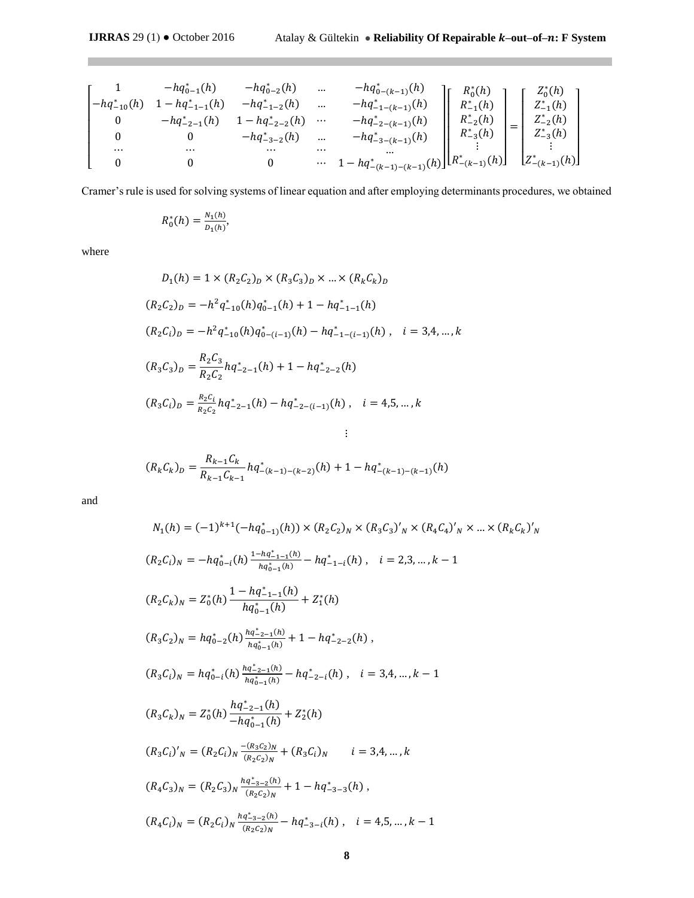m.

$$
\begin{bmatrix} 1 & -hq_{0-1}^*(h) & -hq_{0-2}^*(h) & \dots & -hq_{0-(k-1)}^*(h) \\ -hq_{-10}^*(h) & 1-hq_{-1-1}^*(h) & -hq_{-1-2}^*(h) & \dots & -hq_{-1-(k-1)}^*(h) \\ 0 & -hq_{-2-1}^*(h) & 1-hq_{-2-2}^*(h) & \dots & -hq_{-2-(k-1)}^*(h) \\ 0 & 0 & -hq_{-3-2}^*(h) & \dots & -hq_{-3-(k-1)}^*(h) \\ \dots & \dots & \dots & \dots & \dots \\ 0 & 0 & 0 & \dots & 1-hq_{-(k-1)-(k-1)}^*(h) \end{bmatrix} \begin{bmatrix} R_0^*(h) \\ R_{-1}^*(h) \\ R_{-2}^*(h) \\ R_{-3}^*(h) \\ \vdots \\ R_{-(k-1)}^*(h) \end{bmatrix} = \begin{bmatrix} Z_0^*(h) \\ Z_{-1}^*(h) \\ Z_{-2}^*(h) \\ \vdots \\ Z_{-(k-1)}^*(h) \end{bmatrix}
$$

Cramer's rule is used for solving systems of linear equation and after employing determinants procedures, we obtained

$$
R_0^*(h) = \frac{N_1(h)}{D_1(h)},
$$

where

**The College** 

$$
D_1(h) = 1 \times (R_2C_2)_D \times (R_3C_3)_D \times ... \times (R_kC_k)_D
$$
  
\n
$$
(R_2C_2)_D = -h^2q_{-10}^*(h)q_{0-1}^*(h) + 1 - hq_{-1-1}^*(h)
$$
  
\n
$$
(R_2C_i)_D = -h^2q_{-10}^*(h)q_{0-(i-1)}^*(h) - hq_{-1-(i-1)}^*(h), \quad i = 3,4,...,k
$$
  
\n
$$
(R_3C_3)_D = \frac{R_2C_3}{R_2C_2}hq_{-2-1}^*(h) + 1 - hq_{-2-2}^*(h)
$$
  
\n
$$
(R_3C_i)_D = \frac{R_2C_i}{R_2C_2}hq_{-2-1}^*(h) - hq_{-2-(i-1)}^*(h), \quad i = 4,5,...,k
$$
  
\n:

$$
(R_k C_k)_D = \frac{R_{k-1} C_k}{R_{k-1} C_{k-1}} h q^*_{-(k-1)-(k-2)}(h) + 1 - h q^*_{-(k-1)-(k-1)}(h)
$$

and

$$
N_1(h) = (-1)^{k+1}(-hq_{0-1)}^*(h)) \times (R_2C_2)_N \times (R_3C_3)'_N \times (R_4C_4)'_N \times \dots \times (R_kC_k)'_N
$$
  
\n
$$
(R_2C_i)_N = -hq_{0-i}^*(h) \frac{1 - nq_{-1-i}^*(h)}{hq_{0-1}^*(h)} - hq_{-1-i}^*(h), \quad i = 2,3,\dots, k-1
$$
  
\n
$$
(R_2C_k)_N = Z_0^*(h) \frac{1 - nq_{-1-i}^*(h)}{hq_{0-1}^*(h)} + Z_1^*(h)
$$
  
\n
$$
(R_3C_2)_N = hq_{0-2}^*(h) \frac{hq_{-2-1}^*(h)}{hq_{0-1}^*(h)} + 1 - hq_{-2-2}^*(h), \quad i = 3,4,\dots, k-1
$$
  
\n
$$
(R_3C_k)_N = Z_0^*(h) \frac{hq_{-2-1}^*(h)}{nq_{0-1}^*(h)} - hq_{-2-i}^*(h), \quad i = 3,4,\dots, k-1
$$
  
\n
$$
(R_3C_k)_N = Z_0^*(h) \frac{hq_{-2-1}^*(h)}{-hq_{0-1}^*(h)} + Z_2^*(h)
$$
  
\n
$$
(R_3C_i)'_N = (R_2C_i)_N \frac{-(R_3C_2)_N}{(R_2C_2)_N} + (R_3C_i)_N \qquad i = 3,4,\dots, k
$$
  
\n
$$
(R_4C_3)_N = (R_2C_3)_N \frac{hq_{-3-2}^*(h)}{(R_2C_2)_N} + 1 - hq_{-3-3}^*(h), \quad i = 4,5,\dots, k-1
$$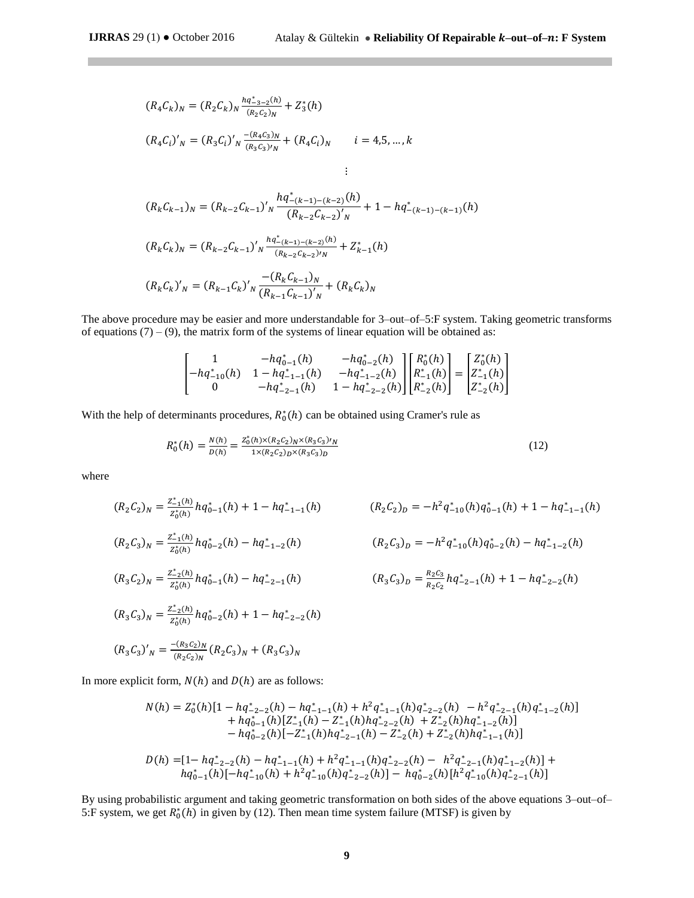$$
(R_4C_k)_N = (R_2C_k)_N \frac{hq_{-3-2}^*(h)}{(R_2C_2)_N} + Z_3^*(h)
$$
  
\n
$$
(R_4C_i)'_N = (R_3C_i)'_N \frac{-(R_4C_3)_N}{(R_3C_3)'_N} + (R_4C_i)_N \qquad i = 4, 5, ..., k
$$
  
\n:  
\n:  
\n
$$
(R_kC_{k-1})_N = (R_{k-2}C_{k-1})'_N \frac{hq_{-(k-1)-(k-2)}^*(h)}{(R_{k-2}C_{k-2})'_N} + 1 - hq_{-(k-1)-(k-1)}^*(h)
$$
  
\n
$$
(R_kC_k)_N = (R_{k-2}C_{k-1})'_N \frac{hq_{-(k-1)-(k-2)}^*(h)}{(R_{k-2}C_{k-2})'_N} + Z_{k-1}^*(h)
$$
  
\n
$$
(R_kC_k)'_N = (R_{k-1}C_k)'_N \frac{-(R_kC_{k-1})_N}{(R_{k-1}C_{k-1})'_N} + (R_kC_k)_N
$$

The above procedure may be easier and more understandable for 3–out–of–5:F system. Taking geometric transforms of equations  $(7) - (9)$ , the matrix form of the systems of linear equation will be obtained as:

$$
\begin{bmatrix} 1 & -hq_{0-1}^*(h) & -hq_{0-2}^*(h) \\ -hq_{-10}^*(h) & 1 - hq_{-1-1}^*(h) & -hq_{-1-2}^*(h) \\ 0 & -hq_{-2-1}^*(h) & 1 - hq_{-2-2}^*(h) \end{bmatrix} \begin{bmatrix} R_0^*(h) \\ R_{-1}^*(h) \\ R_{-2}^*(h) \end{bmatrix} = \begin{bmatrix} Z_0^*(h) \\ Z_{-1}^*(h) \\ Z_{-2}^*(h) \end{bmatrix}
$$

With the help of determinants procedures,  $R_0^*(h)$  can be obtained using Cramer's rule as

$$
R_0^*(h) = \frac{N(h)}{D(h)} = \frac{Z_0^*(h) \times (R_2 C_2)_N \times (R_3 C_3)_N}{1 \times (R_2 C_2)_D \times (R_3 C_3)_D} \tag{12}
$$

where

$$
(R_{2}C_{2})_{N} = \frac{z_{-1}^{*}(h)}{z_{0}^{*}(h)} hq_{0-1}^{*}(h) + 1 - hq_{-1-1}^{*}(h)
$$
\n
$$
(R_{2}C_{2})_{D} = -h^{2}q_{-10}^{*}(h)q_{0-1}^{*}(h) + 1 - hq_{-1-1}^{*}(h)
$$
\n
$$
(R_{2}C_{2})_{D} = -h^{2}q_{-10}^{*}(h)q_{0-1}^{*}(h) + 1 - hq_{-1-1}^{*}(h)
$$
\n
$$
(R_{2}C_{3})_{N} = \frac{z_{-1}^{*}(h)}{z_{0}^{*}(h)} hq_{0-2}^{*}(h) - hq_{-1-2}^{*}(h)
$$
\n
$$
(R_{3}C_{2})_{N} = \frac{z_{-2}^{*}(h)}{z_{0}^{*}(h)} hq_{0-1}^{*}(h) - hq_{-2-1}^{*}(h)
$$
\n
$$
(R_{3}C_{3})_{D} = \frac{R_{2}C_{3}}{R_{2}C_{2}} hq_{-2-1}^{*}(h) + 1 - hq_{-2-2}^{*}(h)
$$
\n
$$
(R_{3}C_{3})_{N} = \frac{z_{-2}^{*}(h)}{z_{0}^{*}(h)} hq_{0-2}^{*}(h) + 1 - hq_{-2-2}^{*}(h)
$$
\n
$$
(R_{3}C_{3})'_{N} = \frac{-(R_{3}C_{2})_{N}}{(R_{2}C_{2})_{N}} (R_{2}C_{3})_{N} + (R_{3}C_{3})_{N}
$$

In more explicit form,  $N(h)$  and  $D(h)$  are as follows:

$$
N(h) = Z_0^*(h)[1 - hq_{-2-2}^*(h) - hq_{-1-1}^*(h) + h^2q_{-1-1}^*(h)q_{-2-2}^*(h) - h^2q_{-2-1}^*(h)q_{-1-2}^*(h)]
$$
  
+ 
$$
hq_{0-1}^*(h)[Z_{-1}^*(h) - Z_{-1}^*(h)hq_{-2-2}^*(h) + Z_{-2}^*(h)hq_{-1-2}^*(h)]
$$
  
- 
$$
hq_{0-2}^*(h)[-Z_{-1}^*(h)hq_{-2-1}^*(h) - Z_{-2}^*(h) + Z_{-2}^*(h)hq_{-1-1}^*(h)]
$$
  

$$
D(h) = [1 - hq_{-2-2}^*(h) - hq_{-1-1}^*(h) + h^2q_{-1-1}^*(h)q_{-2-2}^*(h) - h^2q_{-2-1}^*(h)q_{-1-2}^*(h)] +
$$
  

$$
hq_{0-1}^*(h)[-hq_{-10}^*(h) + h^2q_{-10}^*(h)q_{-2-2}^*(h)] - hq_{0-2}^*(h)[h^2q_{-10}^*(h)q_{-2-1}^*(h)]
$$

By using probabilistic argument and taking geometric transformation on both sides of the above equations 3–out–of– 5:F system, we get  $R_0^*(h)$  in given by (12). Then mean time system failure (MTSF) is given by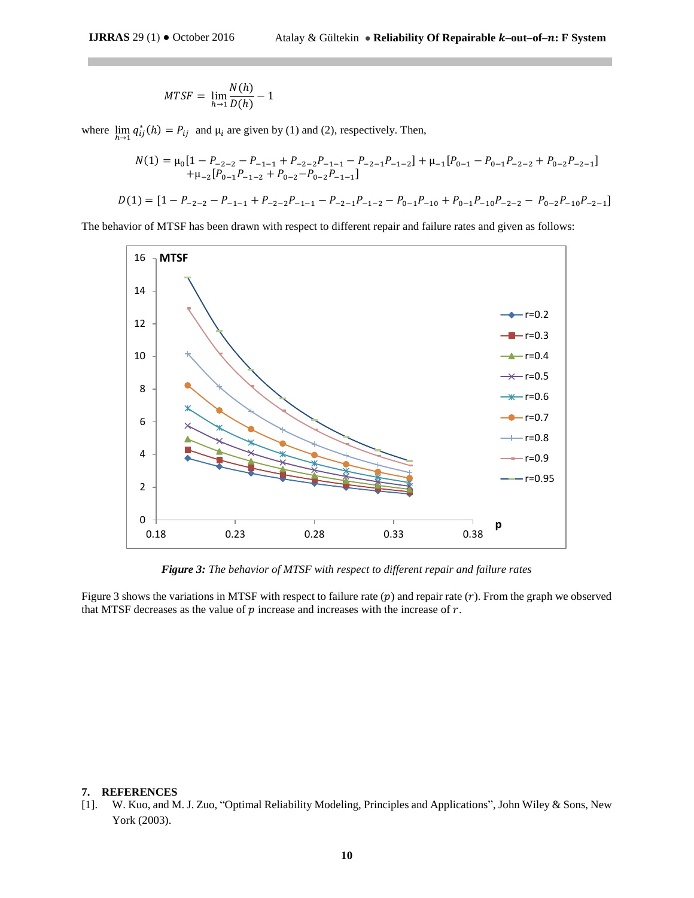$$
MTSF = \lim_{h \to 1} \frac{N(h)}{D(h)} - 1
$$

where  $\lim_{h \to 1} q_{ij}^*(h) = P_{ij}$  and  $\mu_i$  are given by (1) and (2), respectively. Then,

$$
N(1) = \mu_0 \left[ 1 - P_{-2-2} - P_{-1-1} + P_{-2-2} P_{-1-1} - P_{-2-1} P_{-1-2} \right] + \mu_{-1} \left[ P_{0-1} - P_{0-1} P_{-2-2} + P_{0-2} P_{-2-1} \right]
$$
  
+ 
$$
\mu_{-2} \left[ P_{0-1} P_{-1-2} + P_{0-2} - P_{0-2} P_{-1-1} \right]
$$
  

$$
D(1) = \left[ 1 - P_{-2-2} - P_{-1-1} + P_{-2-2} P_{-1-1} - P_{-2-1} P_{-1-2} - P_{0-1} P_{-10} + P_{0-1} P_{-10} P_{-2-2} - P_{0-2} P_{-10} P_{-2-1} \right]
$$

The behavior of MTSF has been drawn with respect to different repair and failure rates and given as follows:



*Figure 3: The behavior of MTSF with respect to different repair and failure rates*

Figure 3 shows the variations in MTSF with respect to failure rate  $(p)$  and repair rate  $(r)$ . From the graph we observed that MTSF decreases as the value of  $p$  increase and increases with the increase of  $r$ .

#### **7. REFERENCES**

[1]. W. Kuo, and M. J. Zuo, "Optimal Reliability Modeling, Principles and Applications", John Wiley & Sons, New York (2003).